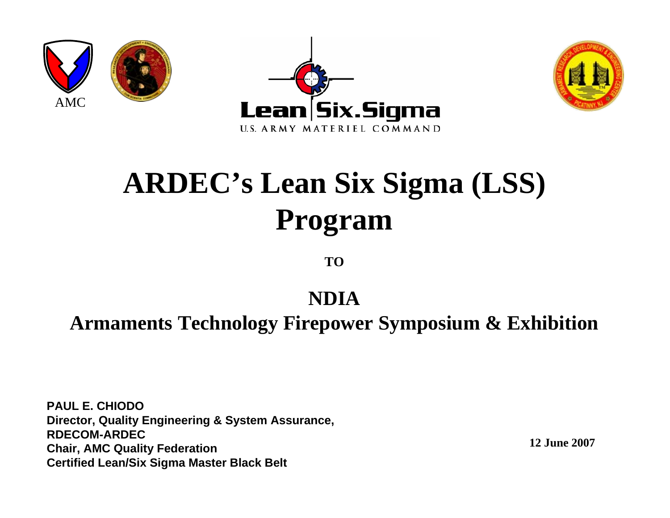





# **ARDEC's Lean Six Sigma (LSS) Program**

**TO**

#### **NDIA**

#### **Armaments Technology Firepower Symposium & Exhibition**

**PAUL E. CHIODODirector, Quality Engineering & System Assurance, RDECOM-ARDECChair, AMC Quality Federation Certified Lean/Six Sigma Master Black Belt**

**12 June 2007**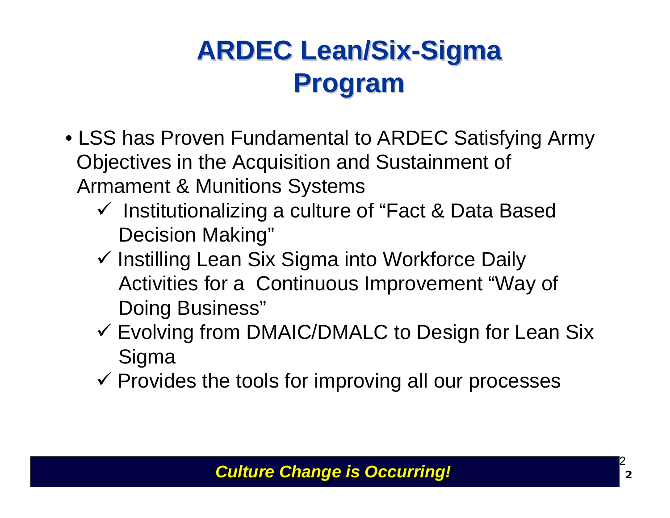# **ARDEC Lean/Six ARDEC Lean/Six-Sigma Program Program**

- LSS has Proven Fundamental to ARDEC Satisfying Army Objectives in the Acquisition and Sustainment of Armament & Munitions Systems
	- $\checkmark$  Institutionalizing a culture of "Fact & Data Based Decision Making"
	- $\checkmark$  Instilling Lean Six Sigma into Workforce Daily Activities for a Continuous Improvement "Way of Doing Business"
	- $\checkmark$  Evolving from DMAIC/DMALC to Design for Lean Six **Sigma**
	- $\checkmark$  Provides the tools for improving all our processes

#### *Culture Change is Occurring! Culture Change is Occurring!*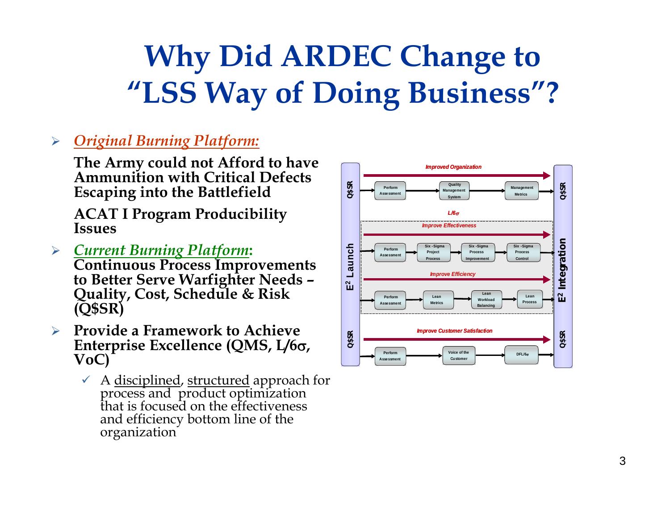# **Why Did ARDEC Change to Why Did ARDEC Change to "LSS Way of Doing Business"? "LSS Way of Doing Business"?**

#### ¾ *Original Burning Platform:*

**The Army could not Afford to have Ammunition with Critical Defects Escaping into the Battlefield**

**ACAT I Program Producibility Issues**

- ¾*Current Burning Platform***: Continuous Process Improvements to Better Serve Warfighter Needs – Quality, Cost, Schedule & Risk (Q\$SR)**
- ¾ **Provide a Framework to Achieve Enterprise Excellence (QMS, L/6** σ**, VoC)**
	- 9 A disciplined, structured approach for process and product optimization that is focused on the effectiveness and efficiency bottom line of the organization

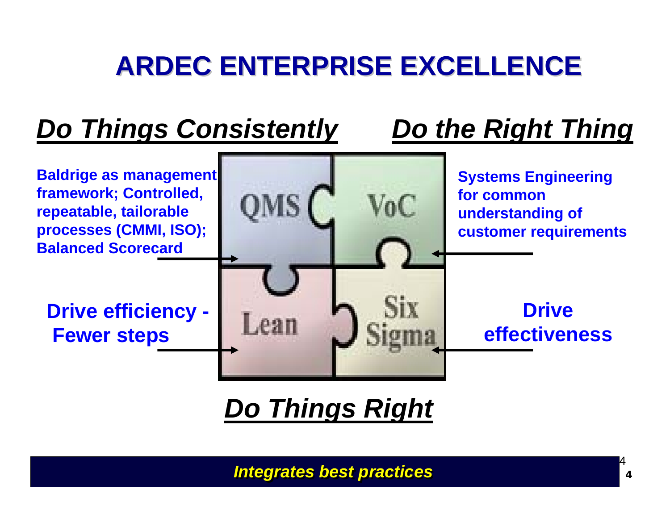# **ARDEC ENTERPRISE EXCELLENCE ARDEC ENTERPRISE EXCELLENCE**

### *Do Things Consistently Do the Right Thing*



### *Do Things Right*

*Integrates best practices Integrates best practices*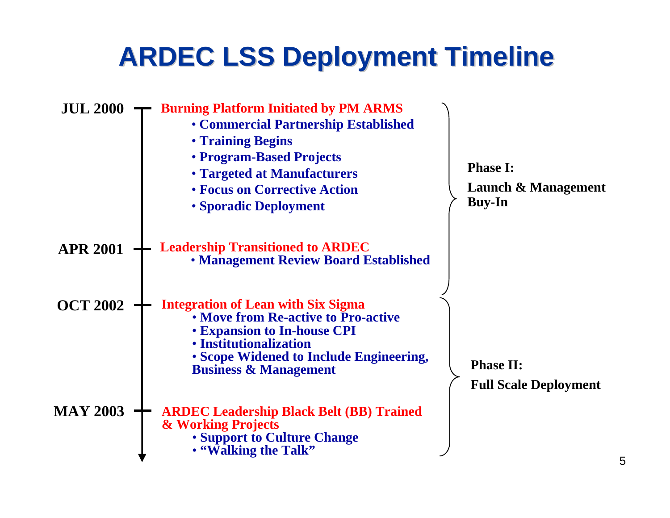### **ARDEC LSS Deployment Timeline ARDEC LSS Deployment Timeline**

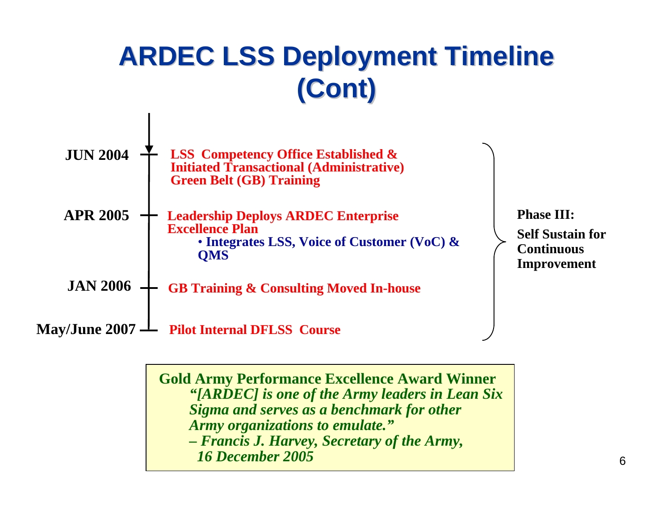# **ARDEC LSS Deployment Timeline ARDEC LSS Deployment Timeline (Cont)**



**Gold Army Performance Excellence Award Winner** *"[ARDEC] is one of the Army leaders in Lean Six Sigma and serves as a benchmark for other Army organizations to emulate." – Francis J. Harvey, Secretary of the Army, 16 December 2005*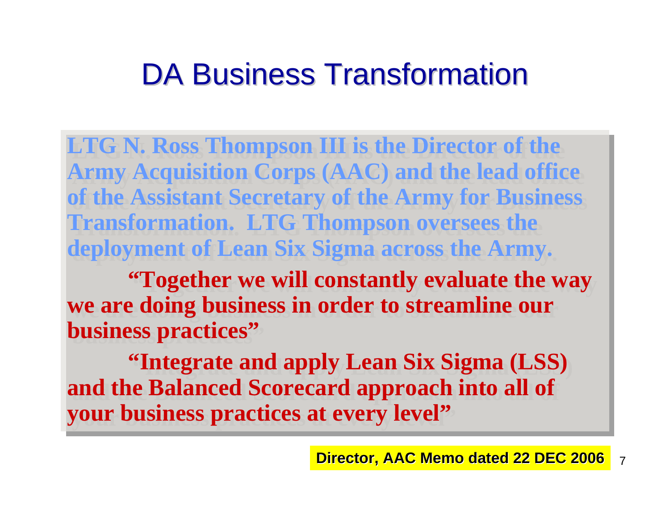# DA Business Transformation

**LTG N. Ross Thompson III is the Director of the LTG N. Ross Thompson III is the Director of the Army Acquisition Corps (AAC) and the lead office Army Acquisition Corps (AAC) and the lead office of the Assistant Secretary of the Army for Business of the Assistant Secretary of the Army for Business Transformation. LTG Thompson oversees the Transformation. LTG Thompson oversees the deployment of Lean Six Sigma across the Army. deployment of Lean Six Sigma across the Army.** 

**"Together we will constantly evaluate the way "Together we will constantly evaluate the way we are doing business in order to streamline our we are doing business in order to streamline our business practices" business practices"**

**"Integrate and apply Lean Six Sigma (LSS) "Integrate and apply Lean Six Sigma (LSS) and the Balanced Scorecard approach into all of and the Balanced Scorecard approach into all of your business practices at every level" your business practices at every level"**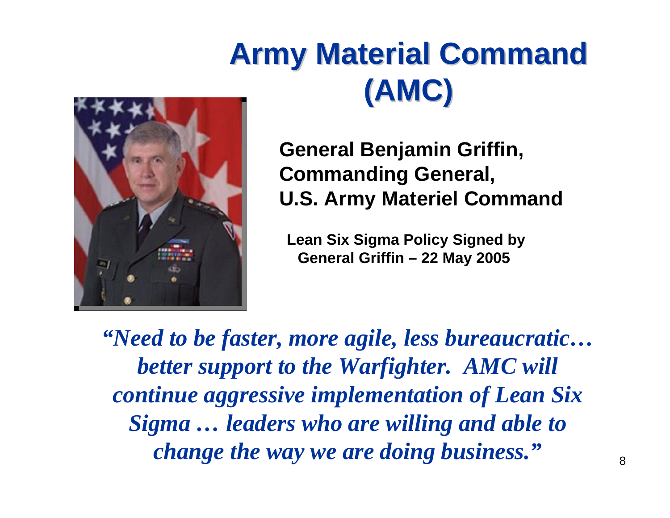# **Army Material Command Army Material Command (AMC)**



**General Benjamin Griffin, Commanding General, U.S. Army Materiel Command**

**Lean Six Sigma Policy Signed by General Griffin – 22 May 2005**

*"Need to be faster, more agile, less bureaucratic… better support to the Warfighter. AMC will continue aggressive implementation of Lean Six Sigma … leaders who are willing and able to change the way we are doing business."*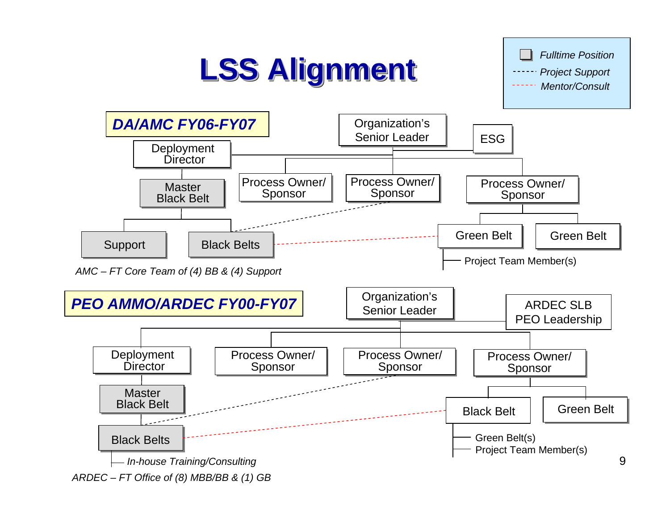# **LSS Alignment LSS Alignment LSS Alignment**

*Fulltime PositionProject Support Mentor/Consult*

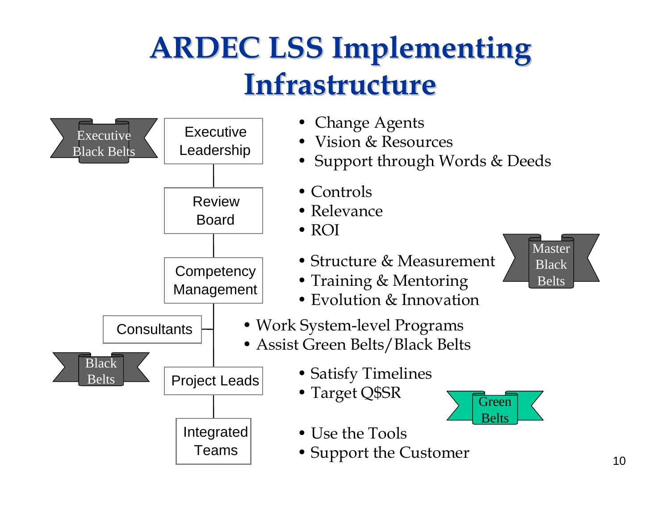# **ARDEC LSS Implementing InfrastructureInfrastructure Infrastructure**

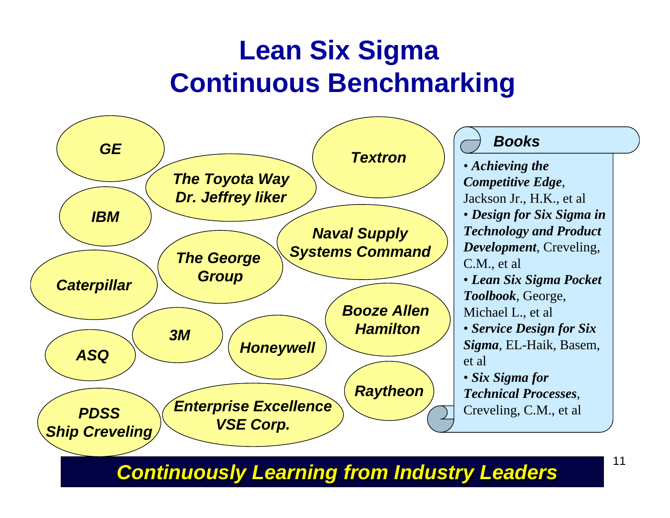### **Lean Six Sigma Continuous Benchmarking**



*Continuously Learning from Industry Leaders Continuously Learning from Industry Leaders*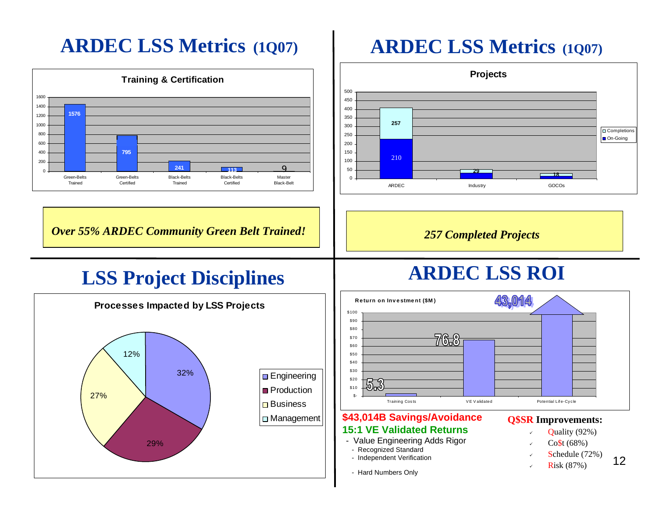#### **ARDEC LSS Metrics (1Q07)**



#### **ARDEC LSS Metrics (1Q07)**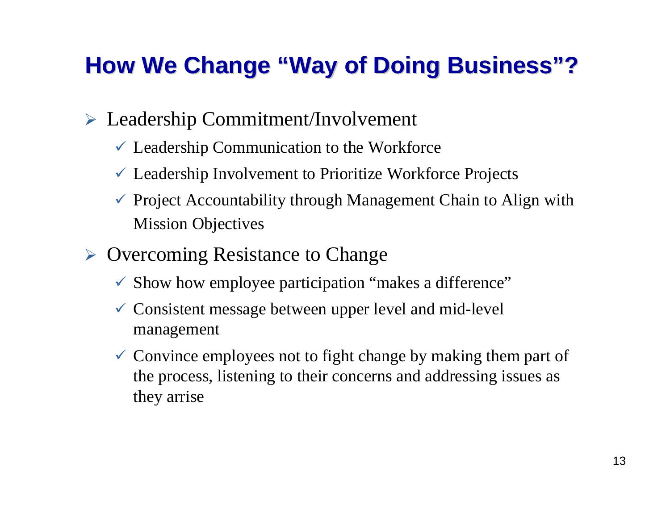### **How We Change "Way of Doing Business"?**

- ¾ Leadership Commitment/Involvement
	- $\checkmark$  Leadership Communication to the Workforce
	- $\checkmark$  Leadership Involvement to Prioritize Workforce Projects
	- $\checkmark$  Project Accountability through Management Chain to Align with Mission Objectives
- ¾ Overcoming Resistance to Change
	- $\checkmark$  Show how employee participation "makes a difference"
	- $\checkmark$  Consistent message between upper level and mid-level management
	- $\checkmark$  Convince employees not to fight change by making them part of the process, listening to their concerns and addressing issues as they arrise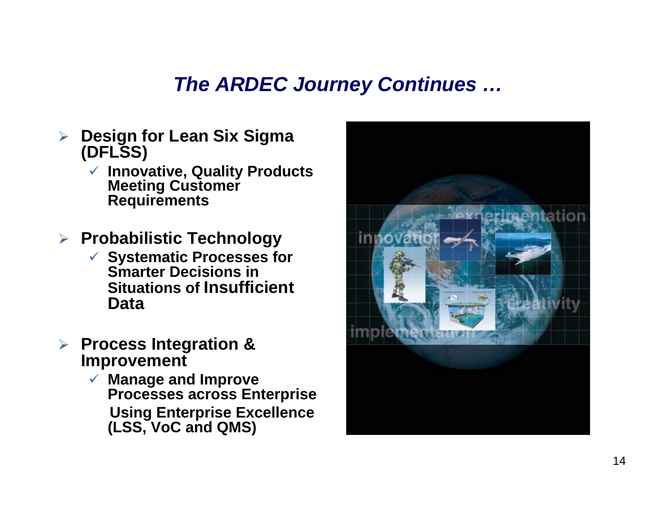### *The ARDEC Journey Continues …*

- ¾ **Design for Lean Six Sigma (DFLSS)**
	- 9 **Innovative, Quality Products Meeting Customer Requirements**
- ¾ **Probabilistic Technology**
	- 9 **Systematic Processes for Smarter Decisions in Situations of Insufficient Data**
- ¾ **Process Integration & Improvement**
	- 9 **Manage and Improve Processes across Enterprise Using Enterprise Excellence (LSS, VoC and QMS)**

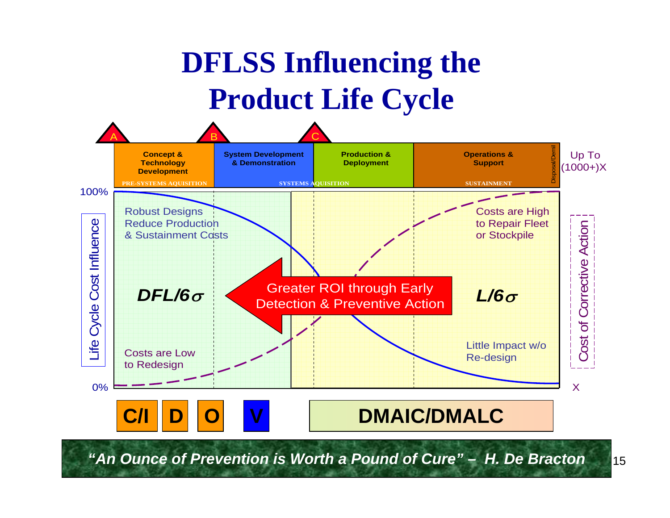# **DFLSS Influencing the Product Life Cycle**



*"An Ounce of Prevention is Worth a Pound of Cure" – H. De Bracton*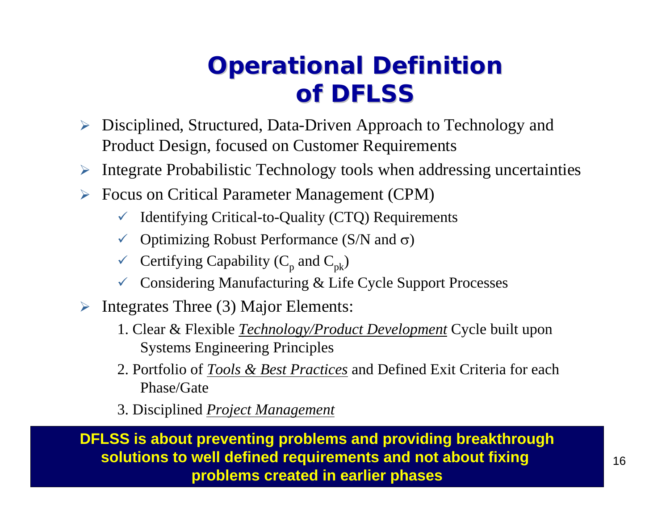### **Operational Definition of DFLSS of DFLSS**

- ¾ Disciplined, Structured, Data-Driven Approach to Technology and Product Design, focused on Customer Requirements
- ¾Integrate Probabilistic Technology tools when addressing uncertainties
- ¾ Focus on Critical Parameter Management (CPM)
	- $\checkmark$  Identifying Critical-to-Quality (CTQ) Requirements
	- $\checkmark$  Optimizing Robust Performance (S/N and  $\sigma$ )
	- $\checkmark$  Certifying Capability (C<sub>p</sub> and C<sub>pk</sub>)
	- $\checkmark$  Considering Manufacturing & Life Cycle Support Processes
- ¾ Integrates Three (3) Major Elements:
	- 1. Clear & Flexible *Technology/Product Development* Cycle built upon Systems Engineering Principles
	- 2. Portfolio of *Tools & Best Practices* and Defined Exit Criteria for each Phase/Gate
	- 3. Disciplined *Project Management*

**DFLSS is about preventing problems and providing breakthrough solutions to well defined requirements and not about fixing problems created in earlier phases**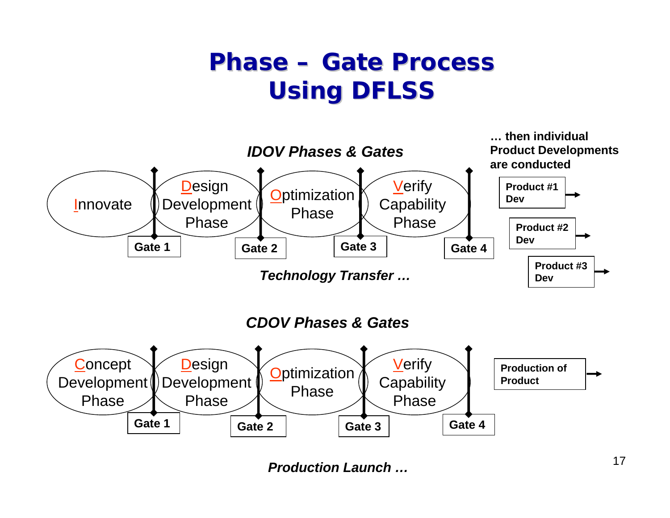### **Phase – Gate Process Using DFLSS Using DFLSS**



*Production Launch …*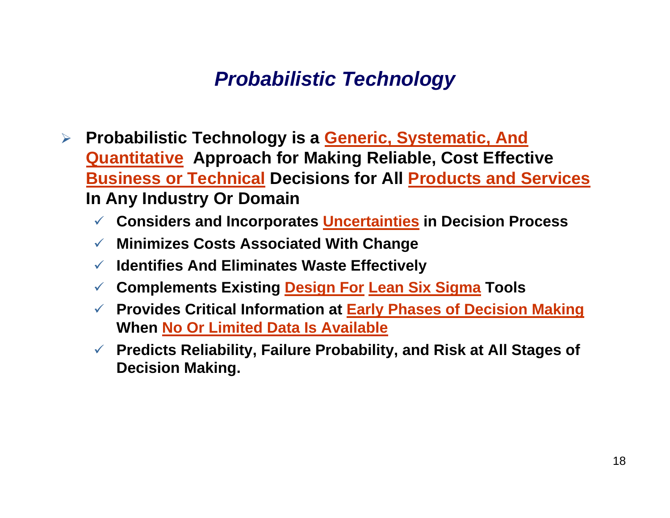### *Probabilistic Technology*

- $\blacktriangleright$  **Probabilistic Technology is a Generic, Systematic, And Quantitative Approach for Making Reliable, Cost Effective Business or Technical Decisions for All Products and Services In Any Industry Or Domain**
	- 9 **Considers and Incorporates Uncertainties in Decision Process**
	- 9 **Minimizes Costs Associated With Change**
	- 9 **Identifies And Eliminates Waste Effectively**
	- $\checkmark$ **Complements Existing Design For Lean Six Sigma Tools**
	- 9 **Provides Critical Information at Early Phases of Decision Making When No Or Limited Data Is Available**
	- 9 **Predicts Reliability, Failure Probability, and Risk at All Stages of Decision Making.**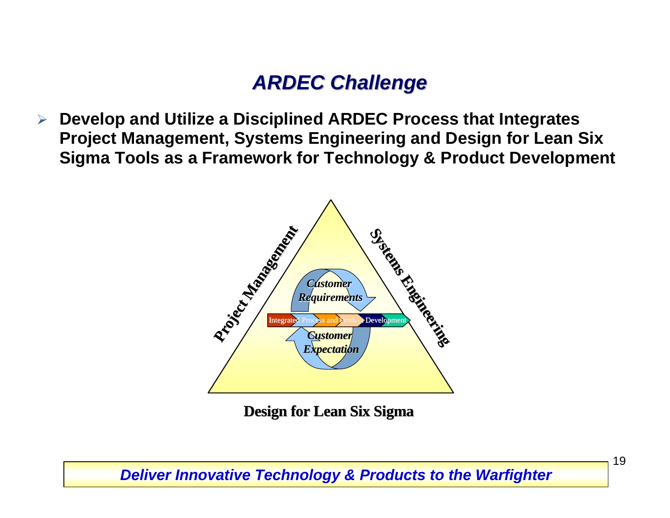### *ARDEC Challenge ARDEC Challenge*

 $\blacktriangleright$  **Develop and Utilize a Disciplined ARDEC Process that Integrates Project Management, Systems Engineering and Design for Lean Six Sigma Tools as a Framework for Technology & Product Development** 



**Design for Lean Six Sigma** 

#### *Deliver Innovative Technology & Products to the Warfighter*